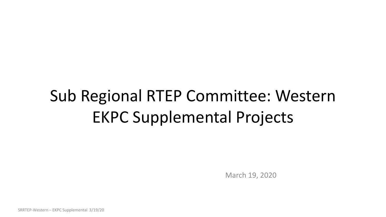# Sub Regional RTEP Committee: Western EKPC Supplemental Projects

March 19, 2020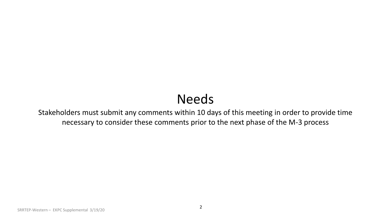## Needs

Stakeholders must submit any comments within 10 days of this meeting in order to provide time necessary to consider these comments prior to the next phase of the M-3 process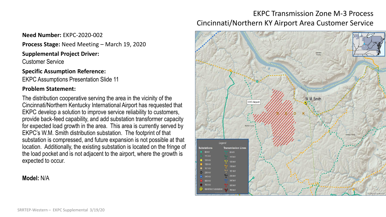### EKPC Transmission Zone M-3 Process Cincinnati/Northern KY Airport Area Customer Service



**Need Number:** EKPC-2020-002

**Process Stage:** Need Meeting – March 19, 2020

**Supplemental Project Driver:** 

Customer Service

**Specific Assumption Reference:**

EKPC Assumptions Presentation Slide 11

#### **Problem Statement:**

The distribution cooperative serving the area in the vicinity of the Cincinnati/Northern Kentucky International Airport has requested that EKPC develop a solution to improve service reliability to customers, provide back-feed capability, and add substation transformer capacity for expected load growth in the area. This area is currently served by EKPC's W.M. Smith distribution substation. The footprint of that substation is compressed, and future expansion is not possible at that location. Additionally, the existing substation is located on the fringe of the load pocket and is not adjacent to the airport, where the growth is expected to occur.

#### **Model:** N/A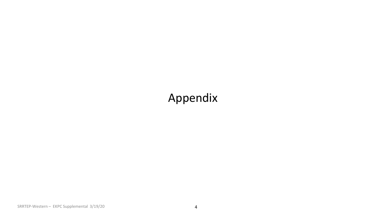## Appendix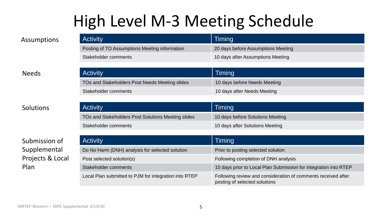## High Level M-3 Meeting Schedule

| Assumptions  | <b>Activity</b>                                | Timing                             |
|--------------|------------------------------------------------|------------------------------------|
|              | Posting of TO Assumptions Meeting information  | 20 days before Assumptions Meeting |
|              | Stakeholder comments                           | 10 days after Assumptions Meeting  |
|              |                                                |                                    |
|              |                                                |                                    |
| <b>Needs</b> | <b>Activity</b>                                | Timing                             |
|              | TOs and Stakeholders Post Needs Meeting slides | 10 days before Needs Meeting       |
|              | Stakeholder comments                           | 10 days after Needs Meeting        |

| <b>Activity</b>                                    | Timing                           |
|----------------------------------------------------|----------------------------------|
| TOs and Stakeholders Post Solutions Meeting slides | 10 days before Solutions Meeting |
| Stakeholder comments                               | 10 days after Solutions Meeting  |

| Submission of    | <b>Activity</b>                                       | Timing                                                                                         |
|------------------|-------------------------------------------------------|------------------------------------------------------------------------------------------------|
| Supplemental     | Do No Harm (DNH) analysis for selected solution       | Prior to posting selected solution                                                             |
| Projects & Local | Post selected solution(s)                             | Following completion of DNH analysis                                                           |
| Plan             | Stakeholder comments                                  | 10 days prior to Local Plan Submission for integration into RTEP                               |
|                  | Local Plan submitted to PJM for integration into RTEP | Following review and consideration of comments received after<br>posting of selected solutions |

**Solutions**